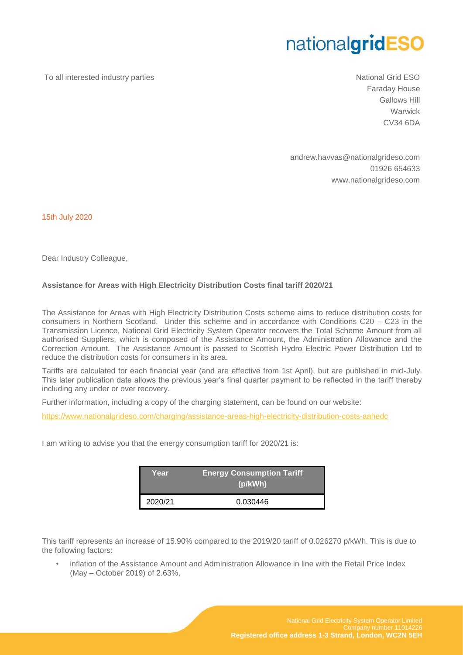## nationalgridESO

To all interested industry parties National Grid ESO

Faraday House Gallows Hill **Warwick** CV34 6DA

andrew.havvas@nationalgrideso.com 01926 654633 www.nationalgrideso.com

15th July 2020

Dear Industry Colleague,

## **Assistance for Areas with High Electricity Distribution Costs final tariff 2020/21**

The Assistance for Areas with High Electricity Distribution Costs scheme aims to reduce distribution costs for consumers in Northern Scotland. Under this scheme and in accordance with Conditions C20 – C23 in the Transmission Licence, National Grid Electricity System Operator recovers the Total Scheme Amount from all authorised Suppliers, which is composed of the Assistance Amount, the Administration Allowance and the Correction Amount. The Assistance Amount is passed to Scottish Hydro Electric Power Distribution Ltd to reduce the distribution costs for consumers in its area.

Tariffs are calculated for each financial year (and are effective from 1st April), but are published in mid-July. This later publication date allows the previous year's final quarter payment to be reflected in the tariff thereby including any under or over recovery.

Further information, including a copy of the charging statement, can be found on our website:

<https://www.nationalgrideso.com/charging/assistance-areas-high-electricity-distribution-costs-aahedc>

I am writing to advise you that the energy consumption tariff for 2020/21 is:

| Year    | <b>Energy Consumption Tariff</b><br>(p/kWh) |
|---------|---------------------------------------------|
| 2020/21 | 0.030446                                    |

This tariff represents an increase of 15.90% compared to the 2019/20 tariff of 0.026270 p/kWh. This is due to the following factors:

• inflation of the Assistance Amount and Administration Allowance in line with the Retail Price Index (May – October 2019) of 2.63%,